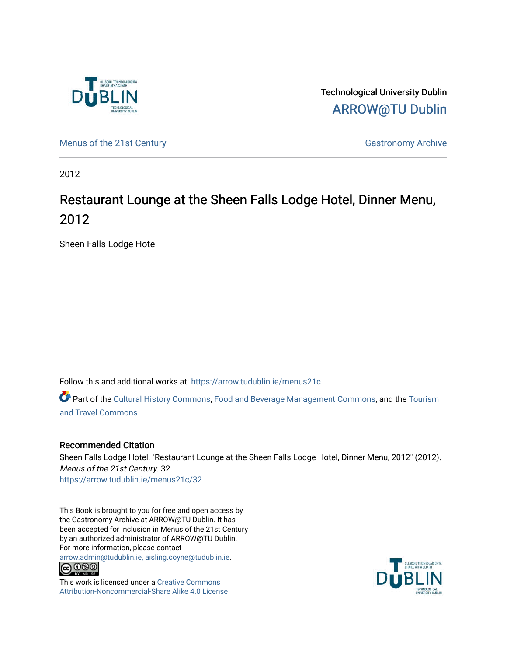

Technological University Dublin [ARROW@TU Dublin](https://arrow.tudublin.ie/) 

[Menus of the 21st Century](https://arrow.tudublin.ie/menus21c) Gastronomy Archive

2012

### Restaurant Lounge at the Sheen Falls Lodge Hotel, Dinner Menu, 2012

Sheen Falls Lodge Hotel

Follow this and additional works at: [https://arrow.tudublin.ie/menus21c](https://arrow.tudublin.ie/menus21c?utm_source=arrow.tudublin.ie%2Fmenus21c%2F32&utm_medium=PDF&utm_campaign=PDFCoverPages) 

Part of the [Cultural History Commons](http://network.bepress.com/hgg/discipline/496?utm_source=arrow.tudublin.ie%2Fmenus21c%2F32&utm_medium=PDF&utm_campaign=PDFCoverPages), [Food and Beverage Management Commons,](http://network.bepress.com/hgg/discipline/1089?utm_source=arrow.tudublin.ie%2Fmenus21c%2F32&utm_medium=PDF&utm_campaign=PDFCoverPages) and the [Tourism](http://network.bepress.com/hgg/discipline/1082?utm_source=arrow.tudublin.ie%2Fmenus21c%2F32&utm_medium=PDF&utm_campaign=PDFCoverPages) [and Travel Commons](http://network.bepress.com/hgg/discipline/1082?utm_source=arrow.tudublin.ie%2Fmenus21c%2F32&utm_medium=PDF&utm_campaign=PDFCoverPages)

#### Recommended Citation

Sheen Falls Lodge Hotel, "Restaurant Lounge at the Sheen Falls Lodge Hotel, Dinner Menu, 2012" (2012). Menus of the 21st Century. 32. [https://arrow.tudublin.ie/menus21c/32](https://arrow.tudublin.ie/menus21c/32?utm_source=arrow.tudublin.ie%2Fmenus21c%2F32&utm_medium=PDF&utm_campaign=PDFCoverPages)

This Book is brought to you for free and open access by the Gastronomy Archive at ARROW@TU Dublin. It has been accepted for inclusion in Menus of the 21st Century by an authorized administrator of ARROW@TU Dublin. For more information, please contact

[arrow.admin@tudublin.ie, aisling.coyne@tudublin.ie](mailto:arrow.admin@tudublin.ie,%20aisling.coyne@tudublin.ie).<br>
co 000



This work is licensed under a [Creative Commons](http://creativecommons.org/licenses/by-nc-sa/4.0/) [Attribution-Noncommercial-Share Alike 4.0 License](http://creativecommons.org/licenses/by-nc-sa/4.0/)

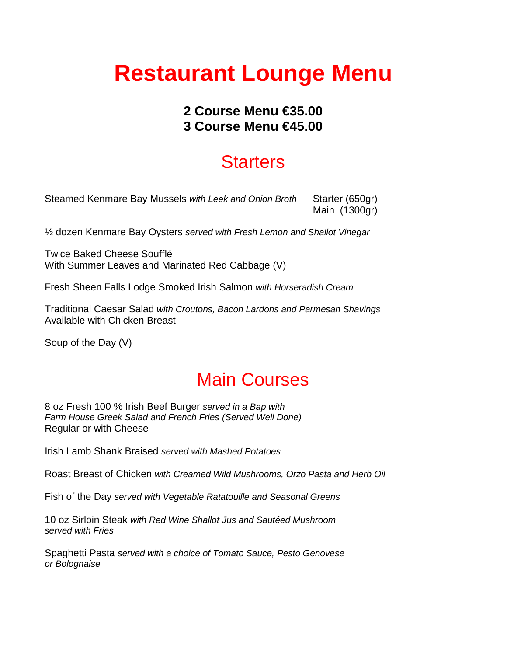# **Restaurant Lounge Menu**

### **2 Course Menu €35.00 3 Course Menu €45.00**

# **Starters**

Steamed Kenmare Bay Mussels *with Leek and Onion Broth* Starter (650gr) Main (1300gr)

½ dozen Kenmare Bay Oysters *served with Fresh Lemon and Shallot Vinegar*

Twice Baked Cheese Soufflé With Summer Leaves and Marinated Red Cabbage (V)

Fresh Sheen Falls Lodge Smoked Irish Salmon *with Horseradish Cream*

Traditional Caesar Salad *with Croutons, Bacon Lardons and Parmesan Shavings* Available with Chicken Breast

Soup of the Day (V)

# Main Courses

8 oz Fresh 100 % Irish Beef Burger *served in a Bap with Farm House Greek Salad and French Fries (Served Well Done)* Regular or with Cheese

Irish Lamb Shank Braised *served with Mashed Potatoes* 

Roast Breast of Chicken *with Creamed Wild Mushrooms, Orzo Pasta and Herb Oil*

Fish of the Day *served with Vegetable Ratatouille and Seasonal Greens*

10 oz Sirloin Steak *with Red Wine Shallot Jus and Sautéed Mushroom served with Fries*

Spaghetti Pasta *served with a choice of Tomato Sauce, Pesto Genovese or Bolognaise*